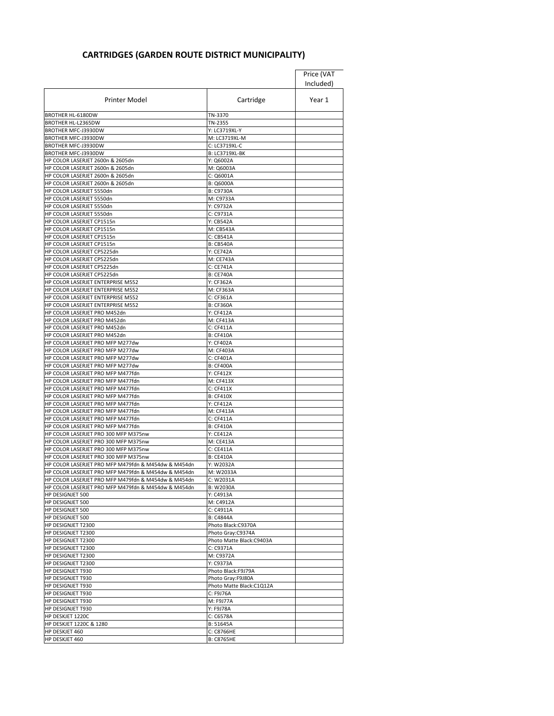## **CARTRIDGES (GARDEN ROUTE DISTRICT MUNICIPALITY)**

|                                                                              |                                          | Price (VAT |
|------------------------------------------------------------------------------|------------------------------------------|------------|
|                                                                              |                                          | Included)  |
| <b>Printer Model</b>                                                         | Cartridge                                | Year 1     |
| <b>BROTHER HL-6180DW</b>                                                     | TN-3370                                  |            |
| BROTHER HL-L2365DW                                                           | TN-2355                                  |            |
| BROTHER MFC-J3930DW                                                          | Y: LC3719XL-Y                            |            |
| BROTHER MFC-J3930DW                                                          | M: LC3719XL-M                            |            |
| BROTHER MFC-J3930DW                                                          | C: LC3719XL-C                            |            |
| BROTHER MFC-J3930DW<br>HP COLOR LASERJET 2600n & 2605dn                      | <b>B: LC3719XL-BK</b><br>Y: Q6002A       |            |
| HP COLOR LASERJET 2600n & 2605dn                                             | M: Q6003A                                |            |
| HP COLOR LASERJET 2600n & 2605dn                                             | C: Q6001A                                |            |
| HP COLOR LASERJET 2600n & 2605dn                                             | <b>B: Q6000A</b>                         |            |
| HP COLOR LASERJET 5550dn                                                     | B: C9730A                                |            |
| HP COLOR LASERJET 5550dn                                                     | M: C9733A                                |            |
| HP COLOR LASERJET 5550dn                                                     | Y: C9732A                                |            |
| HP COLOR LASERJET 5550dn                                                     | C: C9731A                                |            |
| HP COLOR LASERJET CP1515n                                                    | Y: CB542A                                |            |
| HP COLOR LASERJET CP1515n                                                    | M: CB543A                                |            |
| HP COLOR LASERJET CP1515n                                                    | C: CB541A                                |            |
| HP COLOR LASERJET CP1515n<br>HP COLOR LASERJET CP5225dn                      | <b>B: CB540A</b>                         |            |
| HP COLOR LASERJET CP5225dn                                                   | Y: CE742A<br>M: CE743A                   |            |
| HP COLOR LASERJET CP5225dn                                                   | C: CE741A                                |            |
| HP COLOR LASERJET CP5225dn                                                   | <b>B: CE740A</b>                         |            |
| HP COLOR LASERJET ENTERPRISE M552                                            | Y: CF362A                                |            |
| HP COLOR LASERJET ENTERPRISE M552                                            | M: CF363A                                |            |
| HP COLOR LASERJET ENTERPRISE M552                                            | C: CF361A                                |            |
| HP COLOR LASERJET ENTERPRISE M552                                            | <b>B: CF360A</b>                         |            |
| HP COLOR LASERJET PRO M452dn                                                 | Y: CF412A                                |            |
| HP COLOR LASERJET PRO M452dn                                                 | M: CF413A                                |            |
| HP COLOR LASERJET PRO M452dn                                                 | C: CF411A                                |            |
| HP COLOR LASERJET PRO M452dn                                                 | <b>B: CF410A</b>                         |            |
| HP COLOR LASERJET PRO MFP M277dw                                             | Y: CF402A                                |            |
| HP COLOR LASERJET PRO MFP M277dw<br>HP COLOR LASERJET PRO MFP M277dw         | M: CF403A<br>C: CF401A                   |            |
| HP COLOR LASERJET PRO MFP M277dw                                             | <b>B: CF400A</b>                         |            |
| HP COLOR LASERJET PRO MFP M477fdn                                            | Y: CF412X                                |            |
| HP COLOR LASERJET PRO MFP M477fdn                                            | M: CF413X                                |            |
| HP COLOR LASERJET PRO MFP M477fdn                                            | C: CF411X                                |            |
| HP COLOR LASERJET PRO MFP M477fdn                                            | <b>B: CF410X</b>                         |            |
| HP COLOR LASERJET PRO MFP M477fdn                                            | Y: CF412A                                |            |
| HP COLOR LASERJET PRO MFP M477fdn                                            | M: CF413A                                |            |
| HP COLOR LASERJET PRO MFP M477fdn                                            | C: CF411A                                |            |
| HP COLOR LASERJET PRO MFP M477fdn                                            | <b>B: CF410A</b>                         |            |
| HP COLOR LASERJET PRO 300 MFP M375nw<br>HP COLOR LASERJET PRO 300 MFP M375nw | Y: CE412A                                |            |
| HP COLOR LASERJET PRO 300 MFP M375nw                                         | M: CE413A<br>C: CE411A                   |            |
| HP COLOR LASERJET PRO 300 MFP M375nw                                         | <b>B: CE410A</b>                         |            |
| HP COLOR LASERJET PRO MFP M479fdn & M454dw & M454dn                          | Y: W2032A                                |            |
| HP COLOR LASERJET PRO MFP M479fdn & M454dw & M454dn                          | M: W2033A                                |            |
| HP COLOR LASERJET PRO MFP M479fdn & M454dw & M454dn                          | C: W2031A                                |            |
| HP COLOR LASERJET PRO MFP M479fdn & M454dw & M454dn                          | <b>B: W2030A</b>                         |            |
| <b>HP DESIGNJET 500</b>                                                      | Y: C4913A                                |            |
| <b>HP DESIGNJET 500</b>                                                      | M: C4912A                                |            |
| <b>HP DESIGNJET 500</b>                                                      | C: C4911A                                |            |
| HP DESIGNJET 500                                                             | <b>B: C4844A</b>                         |            |
| HP DESIGNJET T2300<br>HP DESIGNJET T2300                                     | Photo Black:C9370A<br>Photo Gray: C9374A |            |
| HP DESIGNJET T2300                                                           | Photo Matte Black: C9403A                |            |
| HP DESIGNJET T2300                                                           | C: C9371A                                |            |
| HP DESIGNJET T2300                                                           | M: C9372A                                |            |
| HP DESIGNJET T2300                                                           | Y: C9373A                                |            |
| HP DESIGNJET T930                                                            | Photo Black:F9J79A                       |            |
| HP DESIGNJET T930                                                            | Photo Gray:F9J80A                        |            |
| HP DESIGNJET T930                                                            | Photo Matte Black:C1Q12A                 |            |
| HP DESIGNJET T930                                                            | C: F9J76A                                |            |
| HP DESIGNJET T930                                                            | M: F9J77A                                |            |
| <b>HP DESIGNJET T930</b><br>HP DESKJET 1220C                                 | Y: F9J78A                                |            |
| HP DESKJET 1220C & 1280                                                      | C: C6578A<br>B: 51645A                   |            |
| HP DESKJET 460                                                               | C: C8766HE                               |            |
| HP DESKJET 460                                                               | <b>B: C8765HE</b>                        |            |